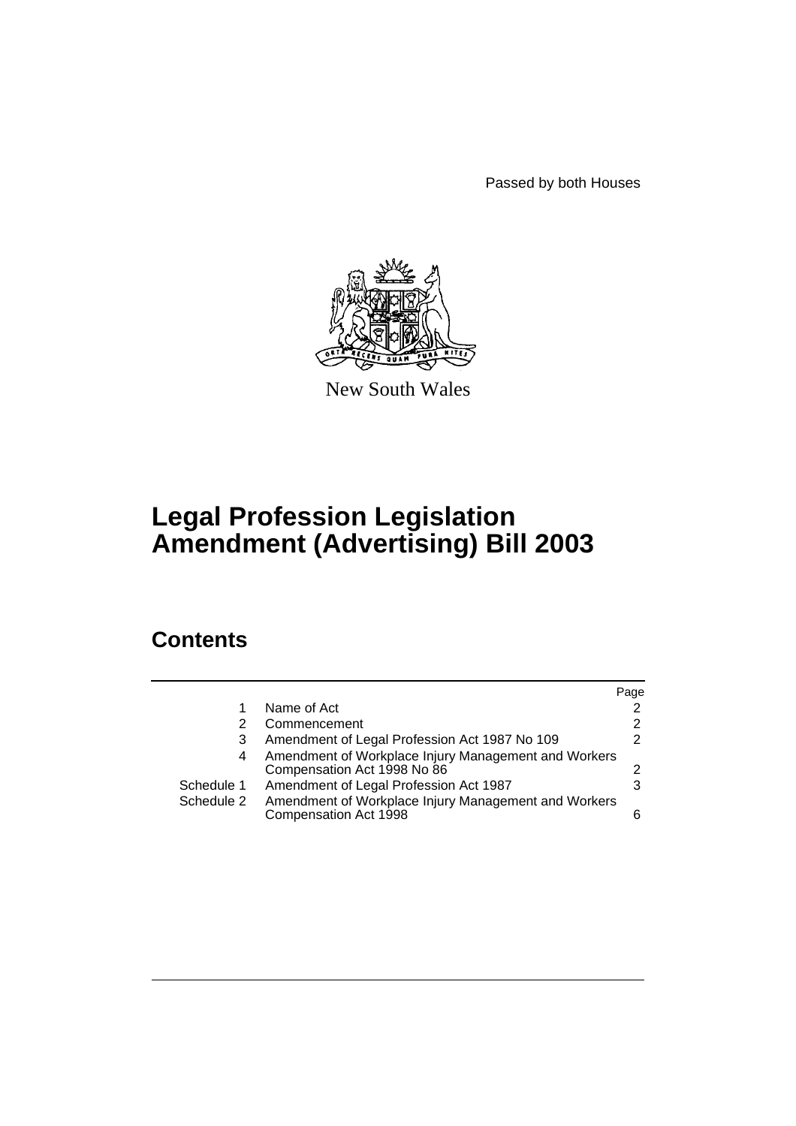Passed by both Houses



New South Wales

## **Legal Profession Legislation Amendment (Advertising) Bill 2003**

## **Contents**

|            |                                                                                     | Page |
|------------|-------------------------------------------------------------------------------------|------|
|            | Name of Act                                                                         | 2    |
| 2          | Commencement                                                                        | 2    |
| 3          | Amendment of Legal Profession Act 1987 No 109                                       | 2    |
| 4          | Amendment of Workplace Injury Management and Workers<br>Compensation Act 1998 No 86 |      |
| Schedule 1 | Amendment of Legal Profession Act 1987                                              | 3    |
| Schedule 2 | Amendment of Workplace Injury Management and Workers<br>Compensation Act 1998       | 6    |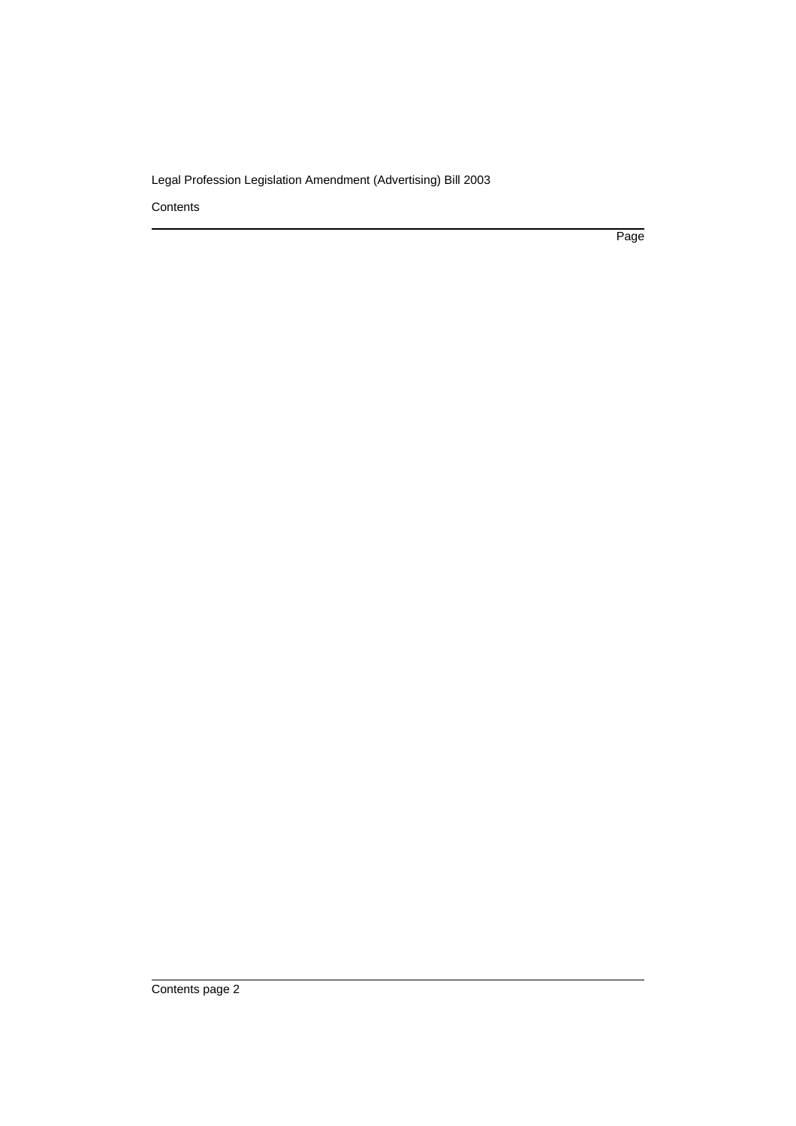**Contents** 

Page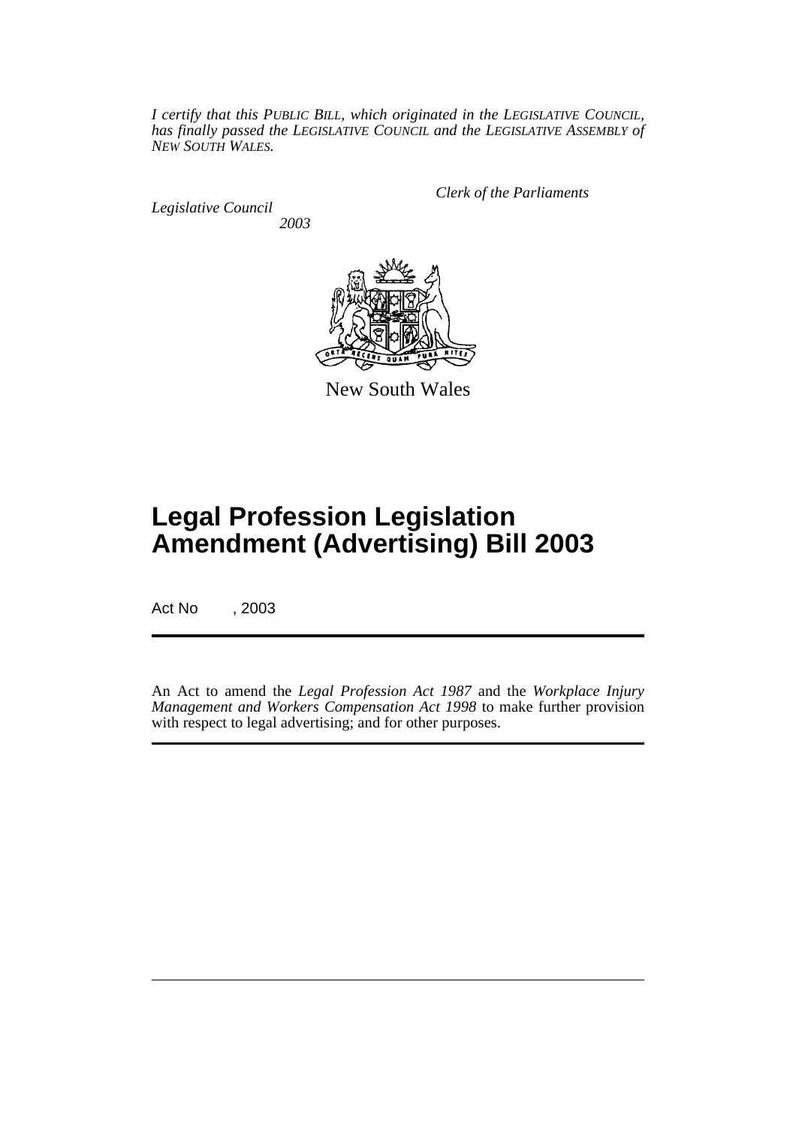*I certify that this PUBLIC BILL, which originated in the LEGISLATIVE COUNCIL, has finally passed the LEGISLATIVE COUNCIL and the LEGISLATIVE ASSEMBLY of NEW SOUTH WALES.*

*Legislative Council 2003* *Clerk of the Parliaments*



New South Wales

# **Legal Profession Legislation Amendment (Advertising) Bill 2003**

Act No , 2003

An Act to amend the *Legal Profession Act 1987* and the *Workplace Injury Management and Workers Compensation Act 1998* to make further provision with respect to legal advertising; and for other purposes.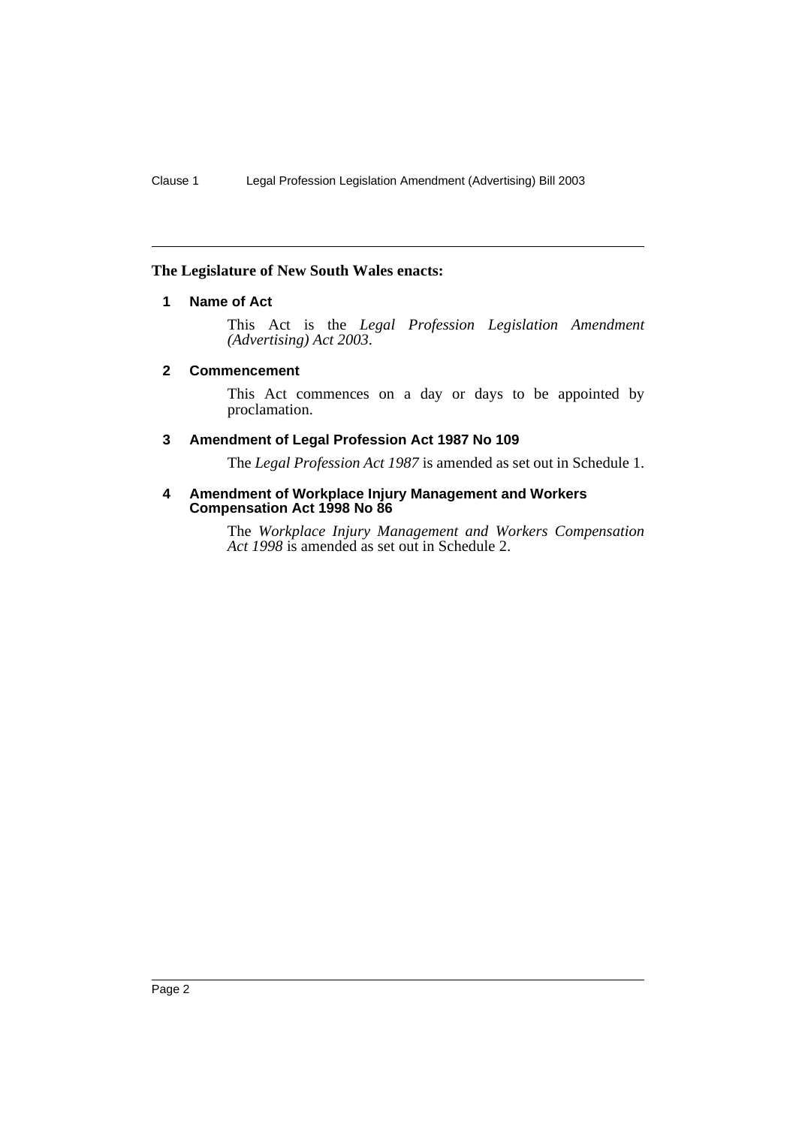#### **The Legislature of New South Wales enacts:**

#### **1 Name of Act**

This Act is the *Legal Profession Legislation Amendment (Advertising) Act 2003*.

#### **2 Commencement**

This Act commences on a day or days to be appointed by proclamation.

#### **3 Amendment of Legal Profession Act 1987 No 109**

The *Legal Profession Act 1987* is amended as set out in Schedule 1.

#### **4 Amendment of Workplace Injury Management and Workers Compensation Act 1998 No 86**

The *Workplace Injury Management and Workers Compensation Act 1998* is amended as set out in Schedule 2.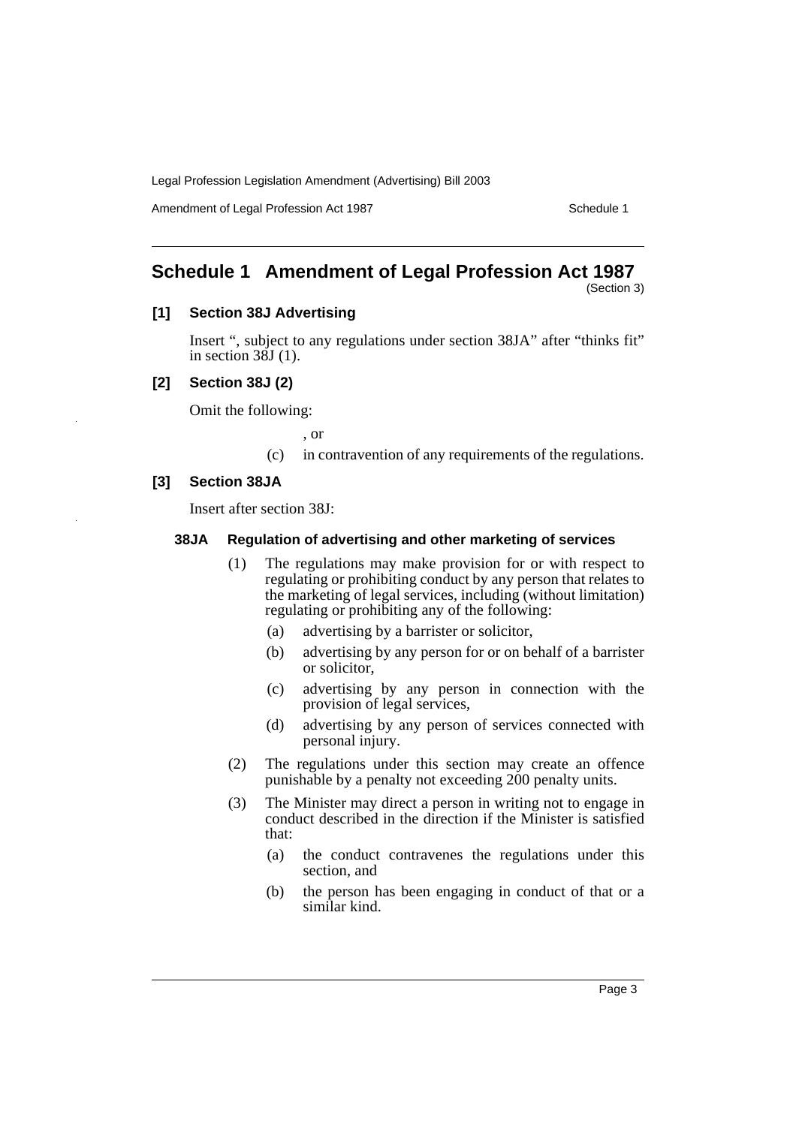Amendment of Legal Profession Act 1987 Schedule 1

### **Schedule 1 Amendment of Legal Profession Act 1987**

(Section 3)

#### **[1] Section 38J Advertising**

Insert ", subject to any regulations under section 38JA" after "thinks fit" in section  $38J(1)$ .

#### **[2] Section 38J (2)**

Omit the following:

, or

(c) in contravention of any requirements of the regulations.

#### **[3] Section 38JA**

Insert after section 38J:

#### **38JA Regulation of advertising and other marketing of services**

- (1) The regulations may make provision for or with respect to regulating or prohibiting conduct by any person that relates to the marketing of legal services, including (without limitation) regulating or prohibiting any of the following:
	- (a) advertising by a barrister or solicitor,
	- (b) advertising by any person for or on behalf of a barrister or solicitor,
	- (c) advertising by any person in connection with the provision of legal services,
	- (d) advertising by any person of services connected with personal injury.
- (2) The regulations under this section may create an offence punishable by a penalty not exceeding 200 penalty units.
- (3) The Minister may direct a person in writing not to engage in conduct described in the direction if the Minister is satisfied that:
	- (a) the conduct contravenes the regulations under this section, and
	- (b) the person has been engaging in conduct of that or a similar kind.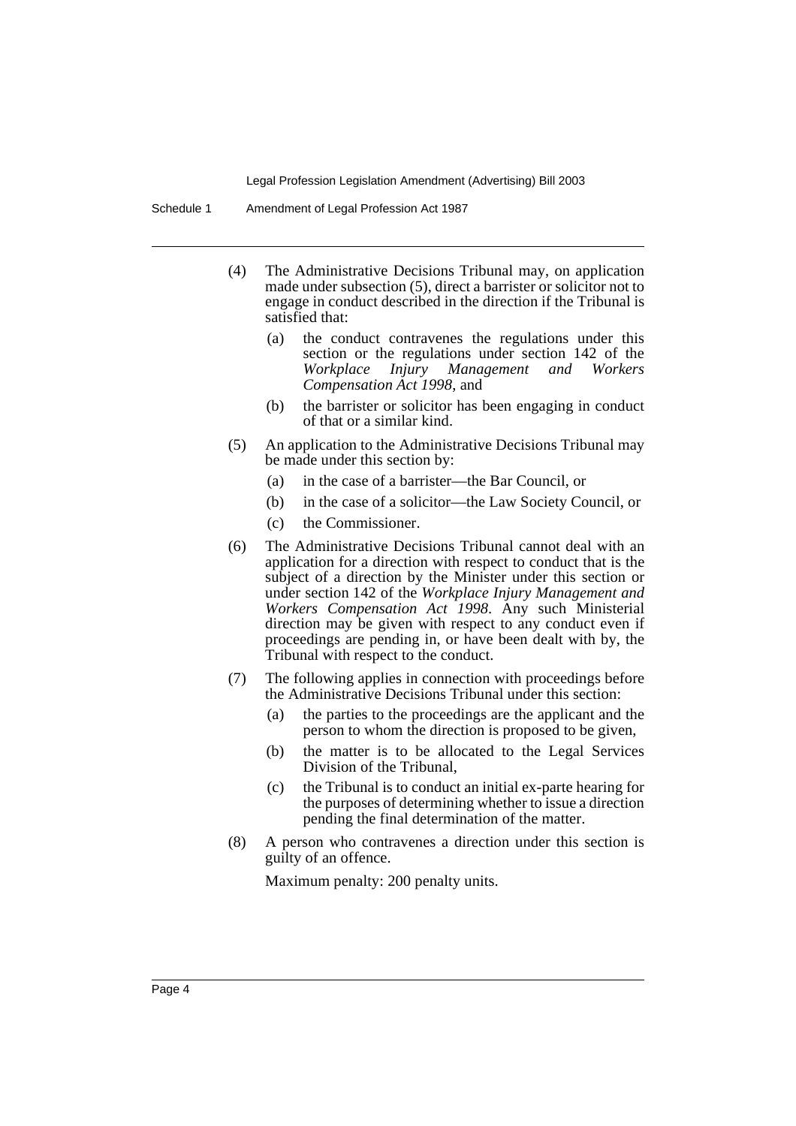Schedule 1 Amendment of Legal Profession Act 1987

- (4) The Administrative Decisions Tribunal may, on application made under subsection (5), direct a barrister or solicitor not to engage in conduct described in the direction if the Tribunal is satisfied that:
	- (a) the conduct contravenes the regulations under this section or the regulations under section 142 of the *Workplace Injury Management and Workers Compensation Act 1998*, and
	- (b) the barrister or solicitor has been engaging in conduct of that or a similar kind.
- (5) An application to the Administrative Decisions Tribunal may be made under this section by:
	- (a) in the case of a barrister—the Bar Council, or
	- (b) in the case of a solicitor—the Law Society Council, or
	- (c) the Commissioner.
- (6) The Administrative Decisions Tribunal cannot deal with an application for a direction with respect to conduct that is the subject of a direction by the Minister under this section or under section 142 of the *Workplace Injury Management and Workers Compensation Act 1998*. Any such Ministerial direction may be given with respect to any conduct even if proceedings are pending in, or have been dealt with by, the Tribunal with respect to the conduct.
- (7) The following applies in connection with proceedings before the Administrative Decisions Tribunal under this section:
	- (a) the parties to the proceedings are the applicant and the person to whom the direction is proposed to be given,
	- (b) the matter is to be allocated to the Legal Services Division of the Tribunal,
	- (c) the Tribunal is to conduct an initial ex-parte hearing for the purposes of determining whether to issue a direction pending the final determination of the matter.
- (8) A person who contravenes a direction under this section is guilty of an offence.

Maximum penalty: 200 penalty units.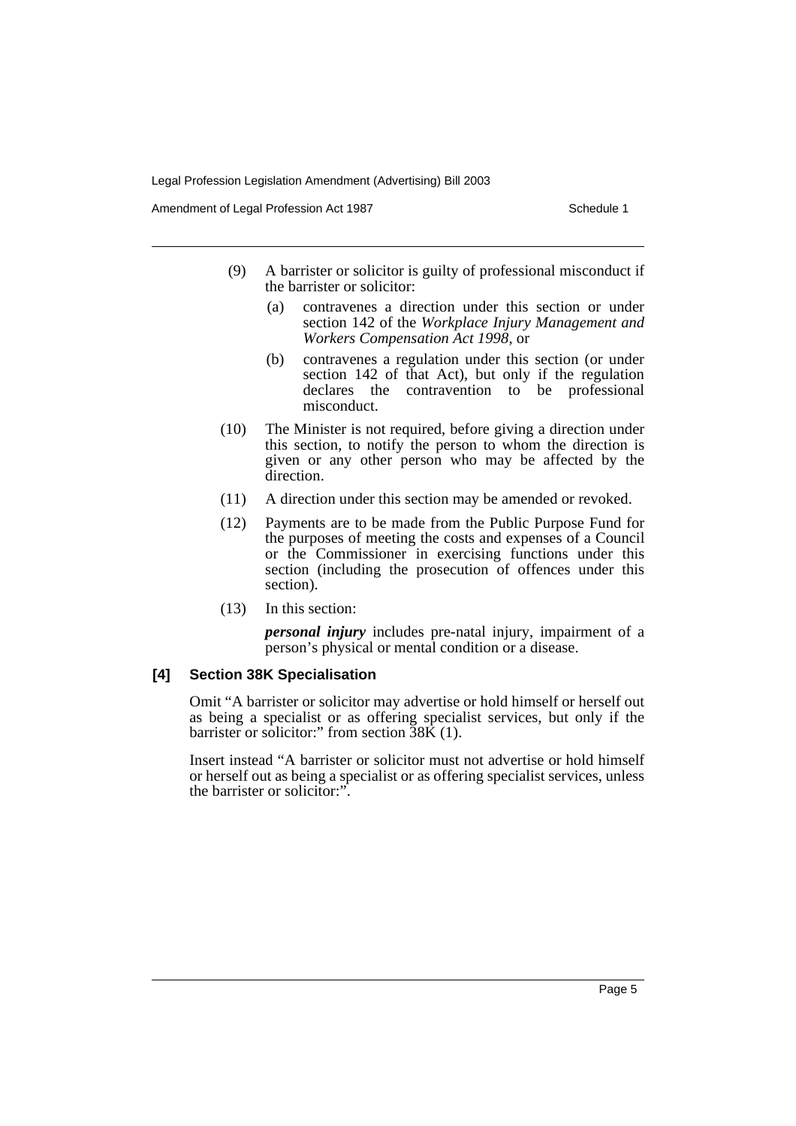Amendment of Legal Profession Act 1987 Schedule 1

- (9) A barrister or solicitor is guilty of professional misconduct if the barrister or solicitor:
	- (a) contravenes a direction under this section or under section 142 of the *Workplace Injury Management and Workers Compensation Act 1998*, or
	- (b) contravenes a regulation under this section (or under section 142 of that Act), but only if the regulation declares the contravention to be professional misconduct.
- (10) The Minister is not required, before giving a direction under this section, to notify the person to whom the direction is given or any other person who may be affected by the direction.
- (11) A direction under this section may be amended or revoked.
- (12) Payments are to be made from the Public Purpose Fund for the purposes of meeting the costs and expenses of a Council or the Commissioner in exercising functions under this section (including the prosecution of offences under this section).
- (13) In this section:

*personal injury* includes pre-natal injury, impairment of a person's physical or mental condition or a disease.

#### **[4] Section 38K Specialisation**

Omit "A barrister or solicitor may advertise or hold himself or herself out as being a specialist or as offering specialist services, but only if the barrister or solicitor:" from section  $\overline{38K}(1)$ .

Insert instead "A barrister or solicitor must not advertise or hold himself or herself out as being a specialist or as offering specialist services, unless the barrister or solicitor:".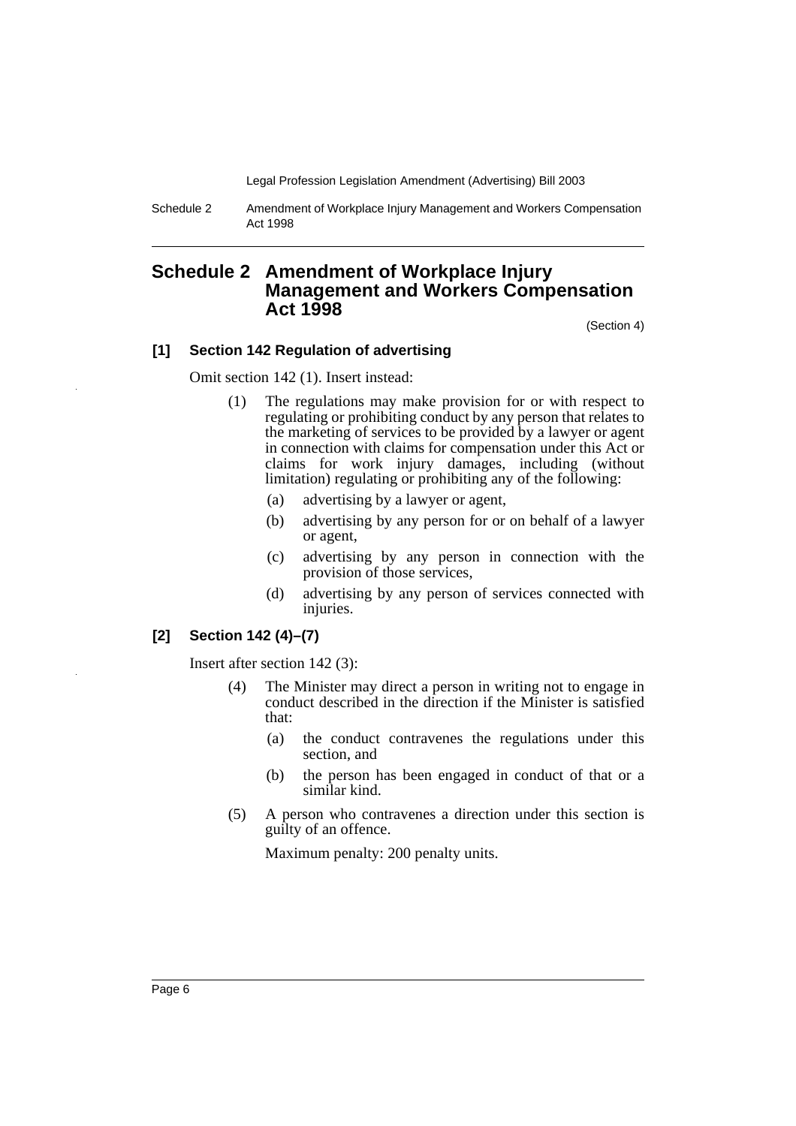Schedule 2 Amendment of Workplace Injury Management and Workers Compensation Act 1998

### **Schedule 2 Amendment of Workplace Injury Management and Workers Compensation Act 1998**

(Section 4)

#### **[1] Section 142 Regulation of advertising**

Omit section 142 (1). Insert instead:

- (1) The regulations may make provision for or with respect to regulating or prohibiting conduct by any person that relates to the marketing of services to be provided by a lawyer or agent in connection with claims for compensation under this Act or claims for work injury damages, including (without limitation) regulating or prohibiting any of the following:
	- (a) advertising by a lawyer or agent,
	- (b) advertising by any person for or on behalf of a lawyer or agent,
	- (c) advertising by any person in connection with the provision of those services,
	- (d) advertising by any person of services connected with injuries.

#### **[2] Section 142 (4)–(7)**

Insert after section 142 (3):

- (4) The Minister may direct a person in writing not to engage in conduct described in the direction if the Minister is satisfied that:
	- (a) the conduct contravenes the regulations under this section, and
	- (b) the person has been engaged in conduct of that or a similar kind.
- (5) A person who contravenes a direction under this section is guilty of an offence.

Maximum penalty: 200 penalty units.